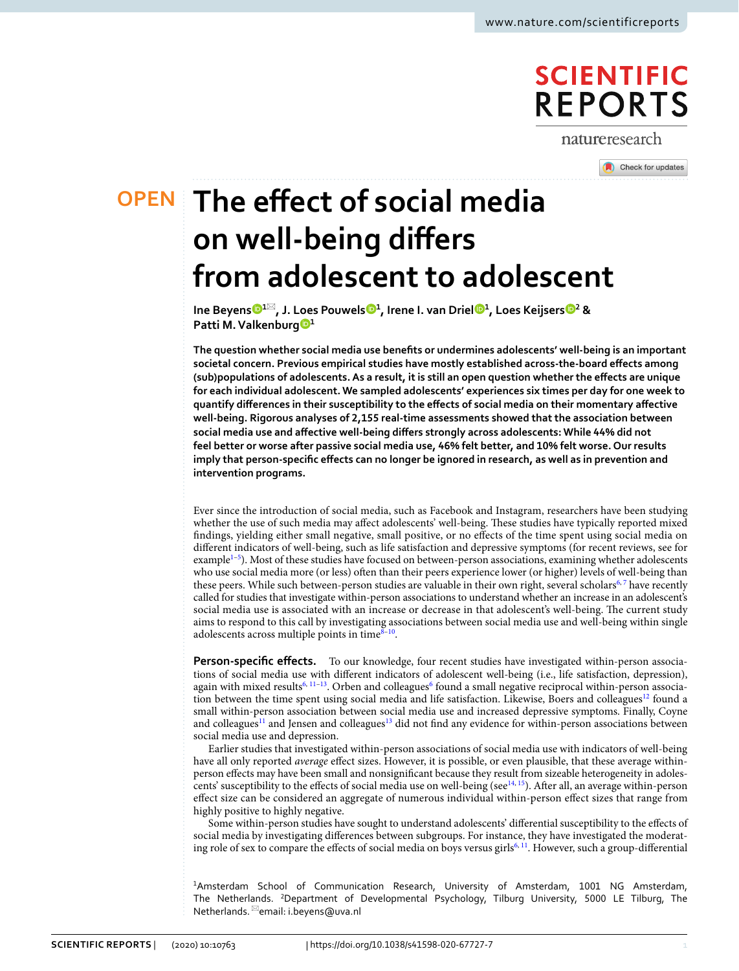# **SCIENTIFIC REPORTS**

natureresearch

Check for updates

**The efect of social media OPEN on well‑being difers from adolescent to adolescent**

> **Ine Beyen[s](http://orcid.org/0000-0001-7023-867X) <sup>1</sup>**\***, J. Loes Pouwel[s](http://orcid.org/0000-0002-9586-392X) <sup>1</sup> , Irene I. van Drie[l](http://orcid.org/0000-0002-7810-9677) <sup>1</sup> , Loes Keijser[s](http://orcid.org/0000-0001-8580-6000) <sup>2</sup> & Patti M.Valkenbur[g](http://orcid.org/0000-0003-0477-8429) <sup>1</sup>**

**The question whether social media use benefts or undermines adolescents' well-being is an important societal concern. Previous empirical studies have mostly established across-the-board efects among (sub)populations of adolescents. As a result, it is still an open question whether the efects are unique for each individual adolescent. We sampled adolescents' experiences six times per day for one week to quantify diferences in their susceptibility to the efects of social media on their momentary afective well-being. Rigorous analyses of 2,155 real-time assessments showed that the association between social media use and afective well-being difers strongly across adolescents: While 44% did not feel better or worse after passive social media use, 46% felt better, and 10% felt worse. Our results imply that person-specifc efects can no longer be ignored in research, as well as in prevention and intervention programs.**

Ever since the introduction of social media, such as Facebook and Instagram, researchers have been studying whether the use of such media may affect adolescents' well-being. These studies have typically reported mixed fndings, yielding either small negative, small positive, or no efects of the time spent using social media on diferent indicators of well-being, such as life satisfaction and depressive symptoms (for recent reviews, see for example<sup>[1](#page-8-0)-5</sup>). Most of these studies have focused on between-person associations, examining whether adolescents who use social media more (or less) ofen than their peers experience lower (or higher) levels of well-being than these peers. While such between-person studies are valuable in their own right, several scholars<sup>[6,](#page-9-1)7</sup> have recently called for studies that investigate within-person associations to understand whether an increase in an adolescent's social media use is associated with an increase or decrease in that adolescent's well-being. The current study aims to respond to this call by investigating associations between social media use and well-being within single adolescents across multiple points in time $8-10$  $8-10$ .

**Person-specific effects.** To our knowledge, four recent studies have investigated within-person associations of social media use with diferent indicators of adolescent well-being (i.e., life satisfaction, depression), again with mixed results<sup>[6,](#page-9-1) [11–](#page-9-5)13</sup>. Orben and colleagues<sup>[6](#page-9-1)</sup> found a small negative reciprocal within-person association between the time spent using social media and life satisfaction. Likewise, Boers and colleagues<sup>12</sup> found a small within-person association between social media use and increased depressive symptoms. Finally, Coyne and colleagues<sup>[11](#page-9-5)</sup> and Jensen and colleagues<sup>[13](#page-9-6)</sup> did not find any evidence for within-person associations between social media use and depression.

Earlier studies that investigated within-person associations of social media use with indicators of well-being have all only reported *average* efect sizes. However, it is possible, or even plausible, that these average withinperson efects may have been small and nonsignifcant because they result from sizeable heterogeneity in adoles-cents' susceptibility to the effects of social media use on well-being (see<sup>14, [15](#page-9-9)</sup>). After all, an average within-person efect size can be considered an aggregate of numerous individual within-person efect sizes that range from highly positive to highly negative.

Some within-person studies have sought to understand adolescents' diferential susceptibility to the efects of social media by investigating diferences between subgroups. For instance, they have investigated the moderat-ing role of sex to compare the effects of social media on boys versus girls<sup>6, [11](#page-9-5)</sup>. However, such a group-differential

1 Amsterdam School of Communication Research, University of Amsterdam, 1001 NG Amsterdam, The Netherlands. <sup>2</sup>Department of Developmental Psychology, Tilburg University, 5000 LE Tilburg, The Netherlands. <sup>⊠</sup>email: i.beyens@uva.nl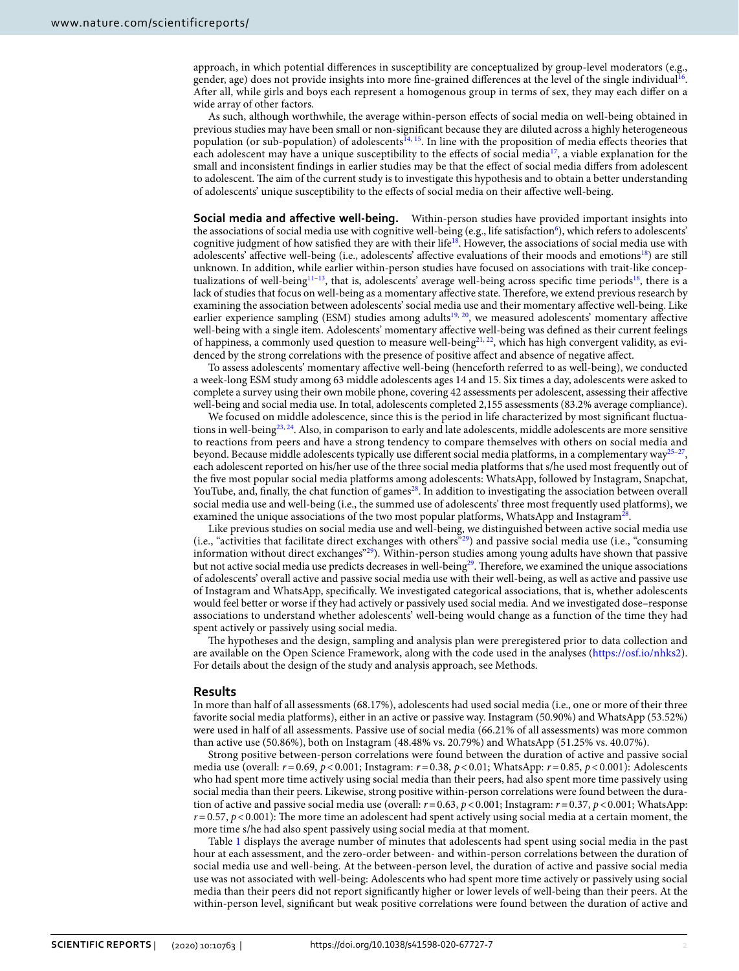approach, in which potential diferences in susceptibility are conceptualized by group-level moderators (e.g., gender, age) does not provide insights into more fine-grained differences at the level of the single individual<sup>16</sup>. Afer all, while girls and boys each represent a homogenous group in terms of sex, they may each difer on a wide array of other factors.

As such, although worthwhile, the average within-person efects of social media on well-being obtained in previous studies may have been small or non-signifcant because they are diluted across a highly heterogeneous population (or sub-population) of adolescents<sup>14, 15</sup>. In line with the proposition of media effects theories that each adolescent may have a unique susceptibility to the efects of social media[17](#page-9-11), a viable explanation for the small and inconsistent fndings in earlier studies may be that the efect of social media difers from adolescent to adolescent. The aim of the current study is to investigate this hypothesis and to obtain a better understanding of adolescents' unique susceptibility to the efects of social media on their afective well-being.

**Social media and affective well-being.** Within-person studies have provided important insights into the associations of social media use with cognitive well-being (e.g., life satisfaction<sup>6</sup>), which refers to adolescents' cognitive judgment of how satisfied they are with their life<sup>18</sup>. However, the associations of social media use with adolescents' affective well-being (i.e., adolescents' affective evaluations of their moods and emotions<sup>[18](#page-9-12)</sup>) are still unknown. In addition, while earlier within-person studies have focused on associations with trait-like concep-tualizations of well-being<sup>[11](#page-9-5)–13</sup>, that is, adolescents' average well-being across specific time periods<sup>18</sup>, there is a lack of studies that focus on well-being as a momentary affective state. Therefore, we extend previous research by examining the association between adolescents' social media use and their momentary afective well-being. Like earlier experience sampling (ESM) studies among adults<sup>19, 20</sup>, we measured adolescents' momentary affective well-being with a single item. Adolescents' momentary afective well-being was defned as their current feelings of happiness, a commonly used question to measure well-being $2^{1,22}$ , which has high convergent validity, as evidenced by the strong correlations with the presence of positive afect and absence of negative afect.

To assess adolescents' momentary afective well-being (henceforth referred to as well-being), we conducted a week-long ESM study among 63 middle adolescents ages 14 and 15. Six times a day, adolescents were asked to complete a survey using their own mobile phone, covering 42 assessments per adolescent, assessing their afective well-being and social media use. In total, adolescents completed 2,155 assessments (83.2% average compliance).

We focused on middle adolescence, since this is the period in life characterized by most signifcant fuctua-tions in well-being<sup>[23,](#page-9-17) 24</sup>. Also, in comparison to early and late adolescents, middle adolescents are more sensitive to reactions from peers and have a strong tendency to compare themselves with others on social media and beyond. Because middle adolescents typically use different social media platforms, in a complementary way<sup>[25](#page-9-19)-2</sup> each adolescent reported on his/her use of the three social media platforms that s/he used most frequently out of the fve most popular social media platforms among adolescents: WhatsApp, followed by Instagram, Snapchat, YouTube, and, finally, the chat function of games<sup>[28](#page-9-21)</sup>. In addition to investigating the association between overall social media use and well-being (i.e., the summed use of adolescents' three most frequently used platforms), we examined the unique associations of the two most popular platforms, WhatsApp and Instagram<sup>28</sup>

Like previous studies on social media use and well-being, we distinguished between active social media use (i.e., "activities that facilitate direct exchanges with others["29](#page-9-22)) and passive social media use (i.e., "consuming information without direct exchanges"[29](#page-9-22)). Within-person studies among young adults have shown that passive but not active social media use predicts decreases in well-being<sup>[29](#page-9-22)</sup>. Therefore, we examined the unique associations of adolescents' overall active and passive social media use with their well-being, as well as active and passive use of Instagram and WhatsApp, specifcally. We investigated categorical associations, that is, whether adolescents would feel better or worse if they had actively or passively used social media. And we investigated dose–response associations to understand whether adolescents' well-being would change as a function of the time they had spent actively or passively using social media.

The hypotheses and the design, sampling and analysis plan were preregistered prior to data collection and are available on the Open Science Framework, along with the code used in the analyses ([https://osf.io/nhks2\)](https://osf.io/nhks2). For details about the design of the study and analysis approach, see Methods.

#### **Results**

In more than half of all assessments (68.17%), adolescents had used social media (i.e., one or more of their three favorite social media platforms), either in an active or passive way. Instagram (50.90%) and WhatsApp (53.52%) were used in half of all assessments. Passive use of social media (66.21% of all assessments) was more common than active use (50.86%), both on Instagram (48.48% vs. 20.79%) and WhatsApp (51.25% vs. 40.07%).

Strong positive between-person correlations were found between the duration of active and passive social media use (overall: *r*=0.69, *p*<0.001; Instagram: *r*=0.38, *p*<0.01; WhatsApp: *r*=0.85, *p*<0.001): Adolescents who had spent more time actively using social media than their peers, had also spent more time passively using social media than their peers. Likewise, strong positive within-person correlations were found between the duration of active and passive social media use (overall: *r*=0.63, *p*<0.001; Instagram: *r*=0.37, *p*<0.001; WhatsApp:  $r=0.57$ ,  $p<0.001$ ): The more time an adolescent had spent actively using social media at a certain moment, the more time s/he had also spent passively using social media at that moment.

Table [1](#page-2-0) displays the average number of minutes that adolescents had spent using social media in the past hour at each assessment, and the zero-order between- and within-person correlations between the duration of social media use and well-being. At the between-person level, the duration of active and passive social media use was not associated with well-being: Adolescents who had spent more time actively or passively using social media than their peers did not report signifcantly higher or lower levels of well-being than their peers. At the within-person level, signifcant but weak positive correlations were found between the duration of active and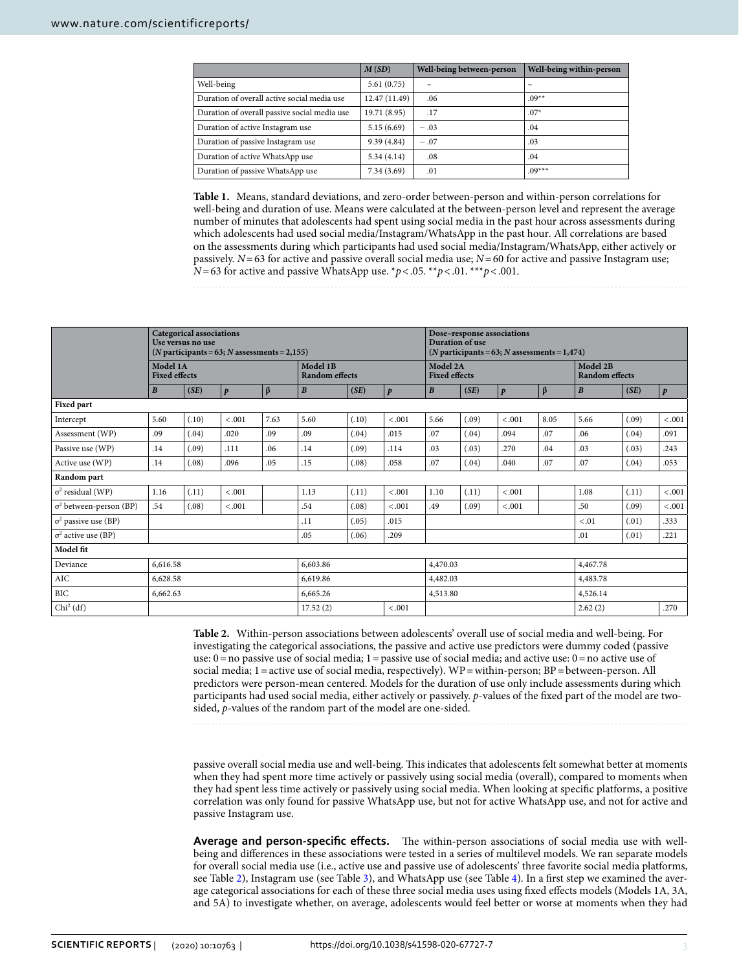|                                              | M(SD)        | Well-being between-person | Well-being within-person |
|----------------------------------------------|--------------|---------------------------|--------------------------|
| Well-being                                   | 5.61(0.75)   |                           | -                        |
| Duration of overall active social media use  | 12.47(11.49) | .06                       | $09**$                   |
| Duration of overall passive social media use | 19.71 (8.95) | .17                       | $.07*$                   |
| Duration of active Instagram use             | 5.15(6.69)   | $-.03$                    | .04                      |
| Duration of passive Instagram use            | 9.39(4.84)   | $-.07$                    | .03                      |
| Duration of active WhatsApp use              | 5.34(4.14)   | .08                       | .04                      |
| Duration of passive WhatsApp use             | 7.34(3.69)   | .01                       | $09***$                  |

<span id="page-2-0"></span>**Table 1.** Means, standard deviations, and zero-order between-person and within-person correlations for well-being and duration of use. Means were calculated at the between-person level and represent the average number of minutes that adolescents had spent using social media in the past hour across assessments during which adolescents had used social media/Instagram/WhatsApp in the past hour*.* All correlations are based on the assessments during which participants had used social media/Instagram/WhatsApp, either actively or passively. *N*=63 for active and passive overall social media use; *N*=60 for active and passive Instagram use; *N*=63 for active and passive WhatsApp use.  $*p$ <.05.  $**p$ <.01.  $**p$ <.001.

|                                | <b>Categorical associations</b><br>Use versus no use<br>$(N$ participants = 63; N assessments = 2,155) |       |                  |         |                                   |       |                  |                                  | Dose-response associations<br>Duration of use<br>$(N$ participants = 63; N assessments = 1,474) |                  |                                   |                  |          |                  |  |  |
|--------------------------------|--------------------------------------------------------------------------------------------------------|-------|------------------|---------|-----------------------------------|-------|------------------|----------------------------------|-------------------------------------------------------------------------------------------------|------------------|-----------------------------------|------------------|----------|------------------|--|--|
|                                | Model 1A<br><b>Fixed effects</b>                                                                       |       |                  |         | Model 1B<br><b>Random</b> effects |       |                  | Model 2A<br><b>Fixed effects</b> |                                                                                                 |                  | Model 2B<br><b>Random</b> effects |                  |          |                  |  |  |
|                                | $\boldsymbol{B}$                                                                                       | (SE)  | $\boldsymbol{p}$ | $\beta$ | $\boldsymbol{B}$                  | (SE)  | $\boldsymbol{p}$ | $\boldsymbol{B}$                 | (SE)                                                                                            | $\boldsymbol{p}$ | $\beta$                           | $\boldsymbol{B}$ | (SE)     | $\boldsymbol{p}$ |  |  |
| <b>Fixed part</b>              |                                                                                                        |       |                  |         |                                   |       |                  |                                  |                                                                                                 |                  |                                   |                  |          |                  |  |  |
| Intercept                      | 5.60                                                                                                   | (.10) | < .001           | 7.63    | 5.60                              | (.10) | $-.001$          | 5.66                             | (.09)                                                                                           | < .001           | 8.05                              | 5.66             | (.09)    | $-.001$          |  |  |
| Assessment (WP)                | .09                                                                                                    | (.04) | .020             | .09     | .09                               | (.04) | .015             | .07                              | (.04)                                                                                           | .094             | .07                               | .06              | (.04)    | .091             |  |  |
| Passive use (WP)               | .14                                                                                                    | (.09) | .111             | .06     | .14                               | (.09) | .114             | .03                              | (.03)                                                                                           | .270             | .04                               | .03              | (.03)    | .243             |  |  |
| Active use (WP)                | .14                                                                                                    | (.08) | .096             | .05     | .15                               | (.08) | .058             | .07                              | (.04)                                                                                           | .040             | .07                               | .07              | (.04)    | .053             |  |  |
| Random part                    |                                                                                                        |       |                  |         |                                   |       |                  |                                  |                                                                                                 |                  |                                   |                  |          |                  |  |  |
| $\sigma^2$ residual (WP)       | 1.16                                                                                                   | (.11) | < .001           |         | 1.13                              | (.11) | $-.001$          | 1.10                             | (.11)                                                                                           | < .001           |                                   | 1.08             | (.11)    | < .001           |  |  |
| $\sigma^2$ between-person (BP) | .54                                                                                                    | (.08) | < 0.001          |         | .54                               | (.08) | < .001           | .49                              | (.09)                                                                                           | < .001           |                                   | .50              | (.09)    | $-.001$          |  |  |
| $\sigma^2$ passive use (BP)    |                                                                                                        |       |                  |         | .11                               | (.05) | .015             |                                  |                                                                                                 |                  |                                   | $-.01$           | (.01)    | .333             |  |  |
| $\sigma^2$ active use (BP)     |                                                                                                        |       |                  |         | .05                               | (.06) | .209             |                                  |                                                                                                 |                  |                                   | .01              | (.01)    | .221             |  |  |
| Model fit                      |                                                                                                        |       |                  |         |                                   |       |                  |                                  |                                                                                                 |                  |                                   |                  |          |                  |  |  |
| Deviance                       | 6,616.58                                                                                               |       |                  |         | 6,603.86                          |       |                  | 4,470.03                         |                                                                                                 |                  |                                   | 4,467.78         |          |                  |  |  |
| AIC                            | 6,628.58                                                                                               |       |                  |         | 6,619.86                          |       |                  | 4,482.03                         |                                                                                                 |                  |                                   | 4,483.78         |          |                  |  |  |
| BIC                            | 6,662.63                                                                                               |       |                  |         | 6,665.26                          |       |                  |                                  | 4,513.80                                                                                        |                  |                                   |                  | 4,526.14 |                  |  |  |
| $Chi2$ (df)                    |                                                                                                        |       |                  |         | 17.52(2)                          |       | $-.001$          |                                  | 2.62(2)                                                                                         |                  |                                   |                  |          | .270             |  |  |

<span id="page-2-1"></span>**Table 2.** Within-person associations between adolescents' overall use of social media and well-being. For investigating the categorical associations, the passive and active use predictors were dummy coded (passive use:  $0 =$  no passive use of social media;  $1 =$  passive use of social media; and active use:  $0 =$  no active use of social media; 1=active use of social media, respectively). WP=within-person; BP=between-person. All predictors were person-mean centered. Models for the duration of use only include assessments during which participants had used social media, either actively or passively. *p*-values of the fxed part of the model are twosided, *p*-values of the random part of the model are one-sided.

passive overall social media use and well-being. This indicates that adolescents felt somewhat better at moments when they had spent more time actively or passively using social media (overall), compared to moments when they had spent less time actively or passively using social media. When looking at specifc platforms, a positive correlation was only found for passive WhatsApp use, but not for active WhatsApp use, and not for active and passive Instagram use.

Average and person-specific effects. The within-person associations of social media use with wellbeing and diferences in these associations were tested in a series of multilevel models. We ran separate models for overall social media use (i.e., active use and passive use of adolescents' three favorite social media platforms, see Table [2\)](#page-2-1), Instagram use (see Table [3](#page-3-0)), and WhatsApp use (see Table [4\)](#page-3-1). In a frst step we examined the average categorical associations for each of these three social media uses using fxed efects models (Models 1A, 3A, and 5A) to investigate whether, on average, adolescents would feel better or worse at moments when they had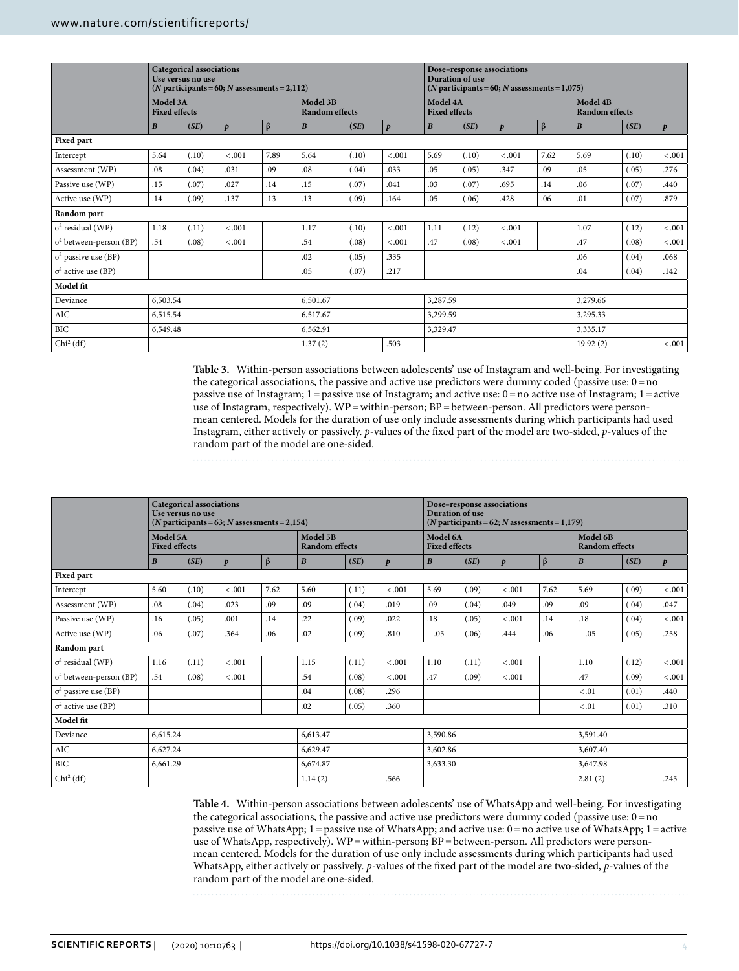|                                | <b>Categorical associations</b><br>Use versus no use<br>$(N$ participants = 60; N assessments = 2,112) |       |                  |         |                                   |       |                  |                                  | Dose-response associations<br>Duration of use<br>$(N$ participants = 60; N assessments = 1,075) |                  |                                   |                  |       |                  |  |  |
|--------------------------------|--------------------------------------------------------------------------------------------------------|-------|------------------|---------|-----------------------------------|-------|------------------|----------------------------------|-------------------------------------------------------------------------------------------------|------------------|-----------------------------------|------------------|-------|------------------|--|--|
|                                | Model 3A<br><b>Fixed effects</b>                                                                       |       |                  |         | Model 3B<br><b>Random</b> effects |       |                  | Model 4A<br><b>Fixed effects</b> |                                                                                                 |                  | Model 4B<br><b>Random</b> effects |                  |       |                  |  |  |
|                                | $\boldsymbol{B}$                                                                                       | (SE)  | $\boldsymbol{p}$ | $\beta$ | $\boldsymbol{B}$                  | (SE)  | $\boldsymbol{p}$ | $\boldsymbol{B}$                 | (SE)                                                                                            | $\boldsymbol{p}$ | $\beta$                           | $\boldsymbol{B}$ | (SE)  | $\boldsymbol{p}$ |  |  |
| <b>Fixed part</b>              |                                                                                                        |       |                  |         |                                   |       |                  |                                  |                                                                                                 |                  |                                   |                  |       |                  |  |  |
| Intercept                      | 5.64                                                                                                   | (.10) | < .001           | 7.89    | 5.64                              | (.10) | < .001           | 5.69                             | (.10)                                                                                           | < .001           | 7.62                              | 5.69             | (.10) | < .001           |  |  |
| Assessment (WP)                | .08                                                                                                    | (.04) | .031             | .09     | .08                               | (.04) | .033             | .05                              | (.05)                                                                                           | .347             | .09                               | .05              | (.05) | .276             |  |  |
| Passive use (WP)               | .15                                                                                                    | (.07) | .027             | .14     | .15                               | (.07) | .041             | .03                              | (.07)                                                                                           | .695             | .14                               | .06              | (.07) | .440             |  |  |
| Active use (WP)                | .14                                                                                                    | (.09) | .137             | .13     | .13                               | (.09) | .164             | .05                              | (.06)                                                                                           | .428             | .06                               | .01              | (.07) | .879             |  |  |
| Random part                    |                                                                                                        |       |                  |         |                                   |       |                  |                                  |                                                                                                 |                  |                                   |                  |       |                  |  |  |
| $\sigma^2$ residual (WP)       | 1.18                                                                                                   | (.11) | < .001           |         | 1.17                              | (.10) | < 0.001          | 1.11                             | (.12)                                                                                           | < .001           |                                   | 1.07             | (.12) | < .001           |  |  |
| $\sigma^2$ between-person (BP) | .54                                                                                                    | (.08) | < .001           |         | .54                               | (.08) | < 0.001          | .47                              | (.08)                                                                                           | < .001           |                                   | .47              | (.08) | < .001           |  |  |
| $\sigma^2$ passive use (BP)    |                                                                                                        |       |                  |         | .02                               | (.05) | .335             |                                  |                                                                                                 |                  | .06                               | (.04)            | .068  |                  |  |  |
| $\sigma^2$ active use (BP)     |                                                                                                        |       |                  |         | .05                               | (.07) | .217             |                                  |                                                                                                 |                  | .04                               | (.04)            | .142  |                  |  |  |
| Model fit                      |                                                                                                        |       |                  |         |                                   |       |                  |                                  |                                                                                                 |                  |                                   |                  |       |                  |  |  |
| Deviance                       | 6,503.54                                                                                               |       |                  |         | 6,501.67                          |       |                  | 3,287.59                         |                                                                                                 |                  |                                   | 3,279.66         |       |                  |  |  |
| $\rm AIC$                      | 6,515.54                                                                                               |       |                  |         | 6,517.67                          |       |                  | 3,299.59                         |                                                                                                 |                  |                                   | 3,295.33         |       |                  |  |  |
| BIC                            | 6,549.48                                                                                               |       |                  |         | 6,562.91                          |       |                  | 3,329.47                         |                                                                                                 |                  |                                   | 3,335.17         |       |                  |  |  |
| $Chi2$ (df)                    |                                                                                                        |       |                  |         | 1.37(2)                           |       | .503             |                                  | 19.92(2)                                                                                        |                  |                                   |                  |       | $-.001$          |  |  |

<span id="page-3-0"></span>**Table 3.** Within-person associations between adolescents' use of Instagram and well-being. For investigating the categorical associations, the passive and active use predictors were dummy coded (passive use:  $0 = no$ ) passive use of Instagram;  $1 =$  passive use of Instagram; and active use:  $0 =$  no active use of Instagram;  $1 =$  active use of Instagram, respectively). WP = within-person; BP = between-person. All predictors were personmean centered. Models for the duration of use only include assessments during which participants had used Instagram, either actively or passively. *p*-values of the fxed part of the model are two-sided, *p*-values of the random part of the model are one-sided.

|                                | <b>Categorical associations</b><br>Use versus no use<br>$(N$ participants = 63; N assessments = 2,154) |       |                  |          |                                   |       |                  |                                  | Dose-response associations<br><b>Duration of use</b><br>$(N$ participants = 62; N assessments = 1,179) |                  |                                   |                  |       |                  |  |  |
|--------------------------------|--------------------------------------------------------------------------------------------------------|-------|------------------|----------|-----------------------------------|-------|------------------|----------------------------------|--------------------------------------------------------------------------------------------------------|------------------|-----------------------------------|------------------|-------|------------------|--|--|
|                                | Model 5A<br><b>Fixed effects</b>                                                                       |       |                  |          | Model 5B<br><b>Random</b> effects |       |                  | Model 6A<br><b>Fixed effects</b> |                                                                                                        |                  | Model 6B<br><b>Random</b> effects |                  |       |                  |  |  |
|                                | $\boldsymbol{B}$                                                                                       | (SE)  | $\boldsymbol{p}$ | $\beta$  | $\boldsymbol{B}$                  | (SE)  | $\boldsymbol{p}$ | $\boldsymbol{B}$                 | (SE)                                                                                                   | $\boldsymbol{p}$ | $\beta$                           | $\boldsymbol{B}$ | (SE)  | $\boldsymbol{p}$ |  |  |
| <b>Fixed part</b>              |                                                                                                        |       |                  |          |                                   |       |                  |                                  |                                                                                                        |                  |                                   |                  |       |                  |  |  |
| Intercept                      | 5.60                                                                                                   | (.10) | < .001           | 7.62     | 5.60                              | (.11) | < .001           | 5.69                             | (.09)                                                                                                  | < .001           | 7.62                              | 5.69             | (.09) | < .001           |  |  |
| Assessment (WP)                | .08                                                                                                    | (.04) | .023             | .09      | .09                               | (.04) | .019             | .09                              | (.04)                                                                                                  | .049             | .09                               | .09              | (.04) | .047             |  |  |
| Passive use (WP)               | .16                                                                                                    | (.05) | .001             | .14      | .22                               | (.09) | .022             | .18                              | (.05)                                                                                                  | $-.001$          | .14                               | .18              | (.04) | < .001           |  |  |
| Active use (WP)                | .06                                                                                                    | (.07) | .364             | .06      | .02                               | (.09) | .810             | $-.05$                           | (.06)                                                                                                  | .444             | .06                               | $-.05$           | (.05) | .258             |  |  |
| Random part                    |                                                                                                        |       |                  |          |                                   |       |                  |                                  |                                                                                                        |                  |                                   |                  |       |                  |  |  |
| $\sigma^2$ residual (WP)       | 1.16                                                                                                   | (.11) | $-.001$          |          | 1.15                              | (.11) | $-.001$          | 1.10                             | (.11)                                                                                                  | $-.001$          |                                   | 1.10             | (.12) | < .001           |  |  |
| $\sigma^2$ between-person (BP) | .54                                                                                                    | (.08) | < .001           |          | .54                               | (.08) | < .001           | .47                              | (.09)                                                                                                  | $-.001$          |                                   | .47              | (.09) | < .001           |  |  |
| $\sigma^2$ passive use (BP)    |                                                                                                        |       |                  |          | .04                               | (.08) | .296             |                                  |                                                                                                        |                  |                                   | $-.01$           | (.01) | .440             |  |  |
| $\sigma^2$ active use (BP)     |                                                                                                        |       |                  |          | .02                               | (.05) | .360             |                                  |                                                                                                        |                  |                                   | < 0.01           | (.01) | .310             |  |  |
| Model fit                      |                                                                                                        |       |                  |          |                                   |       |                  |                                  |                                                                                                        |                  |                                   |                  |       |                  |  |  |
| Deviance                       | 6,615.24                                                                                               |       |                  |          | 6,613.47                          |       |                  | 3,590.86                         |                                                                                                        |                  |                                   | 3,591.40         |       |                  |  |  |
| AIC                            | 6,627.24                                                                                               |       |                  | 6,629.47 |                                   |       | 3,602.86         |                                  |                                                                                                        |                  | 3,607.40                          |                  |       |                  |  |  |
| BIC                            | 6,661.29                                                                                               |       |                  |          | 6,674.87                          |       |                  | 3,633.30                         |                                                                                                        |                  |                                   | 3,647.98         |       |                  |  |  |
| $Chi2$ (df)                    |                                                                                                        |       |                  |          | 1.14(2)                           |       | .566             | 2.81(2)                          |                                                                                                        |                  |                                   | .245             |       |                  |  |  |

<span id="page-3-1"></span>**Table 4.** Within-person associations between adolescents' use of WhatsApp and well-being. For investigating the categorical associations, the passive and active use predictors were dummy coded (passive use:  $0 = no$ ) passive use of WhatsApp; 1=passive use of WhatsApp; and active use: 0=no active use of WhatsApp; 1=active use of WhatsApp, respectively). WP = within-person; BP = between-person. All predictors were personmean centered. Models for the duration of use only include assessments during which participants had used WhatsApp, either actively or passively. *p*-values of the fxed part of the model are two-sided, *p*-values of the random part of the model are one-sided.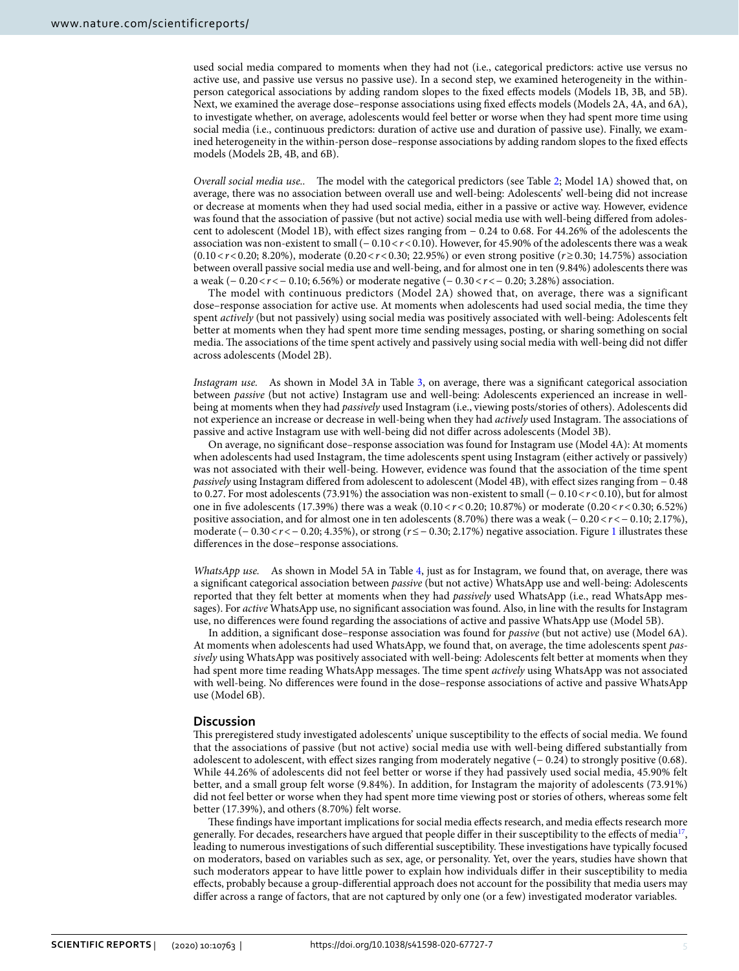used social media compared to moments when they had not (i.e., categorical predictors: active use versus no active use, and passive use versus no passive use). In a second step, we examined heterogeneity in the withinperson categorical associations by adding random slopes to the fxed efects models (Models 1B, 3B, and 5B). Next, we examined the average dose–response associations using fxed efects models (Models 2A, 4A, and 6A), to investigate whether, on average, adolescents would feel better or worse when they had spent more time using social media (i.e., continuous predictors: duration of active use and duration of passive use). Finally, we examined heterogeneity in the within-person dose–response associations by adding random slopes to the fxed efects models (Models 2B, 4B, and 6B).

*Overall social media use..* The model with the categorical predictors (see Table [2;](#page-2-1) Model 1A) showed that, on average, there was no association between overall use and well-being: Adolescents' well-being did not increase or decrease at moments when they had used social media, either in a passive or active way. However, evidence was found that the association of passive (but not active) social media use with well-being difered from adolescent to adolescent (Model 1B), with efect sizes ranging from − 0.24 to 0.68. For 44.26% of the adolescents the association was non-existent to small (− 0.10<*r*<0.10). However, for 45.90% of the adolescents there was a weak (0.10<*r*<0.20; 8.20%), moderate (0.20<*r*<0.30; 22.95%) or even strong positive (*r*≥0.30; 14.75%) association between overall passive social media use and well-being, and for almost one in ten (9.84%) adolescents there was a weak (− 0.20<*r*<− 0.10; 6.56%) or moderate negative (− 0.30<*r*<− 0.20; 3.28%) association.

The model with continuous predictors (Model 2A) showed that, on average, there was a significant dose–response association for active use. At moments when adolescents had used social media, the time they spent *actively* (but not passively) using social media was positively associated with well-being: Adolescents felt better at moments when they had spent more time sending messages, posting, or sharing something on social media. The associations of the time spent actively and passively using social media with well-being did not differ across adolescents (Model 2B).

*Instagram use.* As shown in Model 3A in Table [3,](#page-3-0) on average, there was a signifcant categorical association between *passive* (but not active) Instagram use and well-being: Adolescents experienced an increase in wellbeing at moments when they had *passively* used Instagram (i.e., viewing posts/stories of others). Adolescents did not experience an increase or decrease in well-being when they had *actively* used Instagram. The associations of passive and active Instagram use with well-being did not difer across adolescents (Model 3B).

On average, no signifcant dose–response association was found for Instagram use (Model 4A): At moments when adolescents had used Instagram, the time adolescents spent using Instagram (either actively or passively) was not associated with their well-being. However, evidence was found that the association of the time spent *passively* using Instagram differed from adolescent to adolescent (Model 4B), with effect sizes ranging from − 0.48 to 0.27. For most adolescents (73.91%) the association was non-existent to small (− 0.10<*r*<0.10), but for almost one in fve adolescents (17.39%) there was a weak (0.10<*r*<0.20; 10.87%) or moderate (0.20<*r*<0.30; 6.52%) positive association, and for almost one in ten adolescents (8.70%) there was a weak (− 0.20 <*r*<− 0.10; 2.17%), moderate (− 0.30<*r*<− 0.20; 4.35%), or strong (*r*≤− 0.30; 2.17%) negative association. Figure [1](#page-5-0) illustrates these diferences in the dose–response associations.

*WhatsApp use.* As shown in Model 5A in Table [4,](#page-3-1) just as for Instagram, we found that, on average, there was a signifcant categorical association between *passive* (but not active) WhatsApp use and well-being: Adolescents reported that they felt better at moments when they had *passively* used WhatsApp (i.e., read WhatsApp messages). For *active* WhatsApp use, no signifcant association was found. Also, in line with the results for Instagram use, no diferences were found regarding the associations of active and passive WhatsApp use (Model 5B).

In addition, a signifcant dose–response association was found for *passive* (but not active) use (Model 6A). At moments when adolescents had used WhatsApp, we found that, on average, the time adolescents spent *passively* using WhatsApp was positively associated with well-being: Adolescents felt better at moments when they had spent more time reading WhatsApp messages. The time spent *actively* using WhatsApp was not associated with well-being. No diferences were found in the dose–response associations of active and passive WhatsApp use (Model 6B).

### **Discussion**

Tis preregistered study investigated adolescents' unique susceptibility to the efects of social media. We found that the associations of passive (but not active) social media use with well-being difered substantially from adolescent to adolescent, with efect sizes ranging from moderately negative (− 0.24) to strongly positive (0.68). While 44.26% of adolescents did not feel better or worse if they had passively used social media, 45.90% felt better, and a small group felt worse (9.84%). In addition, for Instagram the majority of adolescents (73.91%) did not feel better or worse when they had spent more time viewing post or stories of others, whereas some felt better (17.39%), and others (8.70%) felt worse.

These findings have important implications for social media effects research, and media effects research more generally. For decades, researchers have argued that people differ in their susceptibility to the effects of media<sup>17</sup>, leading to numerous investigations of such differential susceptibility. These investigations have typically focused on moderators, based on variables such as sex, age, or personality. Yet, over the years, studies have shown that such moderators appear to have little power to explain how individuals difer in their susceptibility to media efects, probably because a group-diferential approach does not account for the possibility that media users may difer across a range of factors, that are not captured by only one (or a few) investigated moderator variables.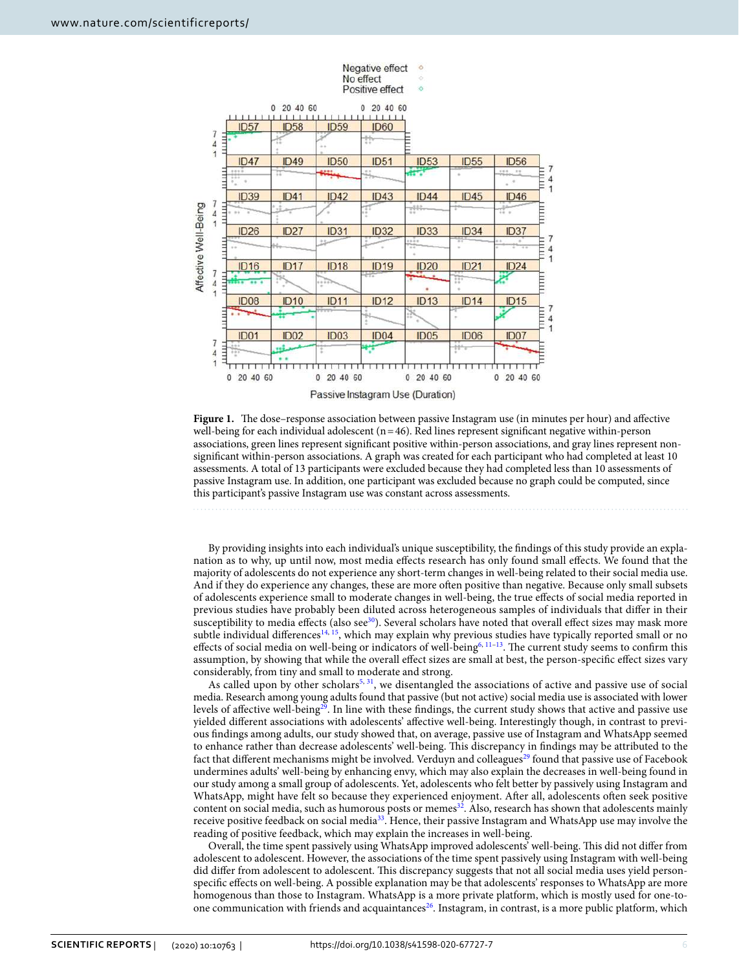

<span id="page-5-0"></span>Figure 1. The dose–response association between passive Instagram use (in minutes per hour) and affective well-being for each individual adolescent  $(n=46)$ . Red lines represent significant negative within-person associations, green lines represent signifcant positive within-person associations, and gray lines represent nonsignifcant within-person associations. A graph was created for each participant who had completed at least 10 assessments. A total of 13 participants were excluded because they had completed less than 10 assessments of passive Instagram use. In addition, one participant was excluded because no graph could be computed, since this participant's passive Instagram use was constant across assessments.

By providing insights into each individual's unique susceptibility, the fndings of this study provide an explanation as to why, up until now, most media efects research has only found small efects. We found that the majority of adolescents do not experience any short-term changes in well-being related to their social media use. And if they do experience any changes, these are more ofen positive than negative. Because only small subsets of adolescents experience small to moderate changes in well-being, the true efects of social media reported in previous studies have probably been diluted across heterogeneous samples of individuals that difer in their susceptibility to media effects (also see<sup>30</sup>). Several scholars have noted that overall effect sizes may mask more subtle individual differences<sup>[14](#page-9-8), 15</sup>, which may explain why previous studies have typically reported small or no effects of social media on well-being or indicators of well-being<sup>6, 11-[13](#page-9-6)</sup>. The current study seems to confirm this assumption, by showing that while the overall efect sizes are small at best, the person-specifc efect sizes vary considerably, from tiny and small to moderate and strong.

As called upon by other scholars<sup>[5,](#page-9-0) [31](#page-9-24)</sup>, we disentangled the associations of active and passive use of social media. Research among young adults found that passive (but not active) social media use is associated with lower levels of affective well-being<sup>29</sup>. In line with these findings, the current study shows that active and passive use yielded diferent associations with adolescents' afective well-being. Interestingly though, in contrast to previous fndings among adults, our study showed that, on average, passive use of Instagram and WhatsApp seemed to enhance rather than decrease adolescents' well-being. Tis discrepancy in fndings may be attributed to the fact that different mechanisms might be involved. Verduyn and colleagues<sup>[29](#page-9-22)</sup> found that passive use of Facebook undermines adults' well-being by enhancing envy, which may also explain the decreases in well-being found in our study among a small group of adolescents. Yet, adolescents who felt better by passively using Instagram and WhatsApp, might have felt so because they experienced enjoyment. Afer all, adolescents ofen seek positive content on social media, such as humorous posts or memes<sup>32</sup>. Also, research has shown that adolescents mainly receive positive feedback on social medi[a33.](#page-9-26) Hence, their passive Instagram and WhatsApp use may involve the reading of positive feedback, which may explain the increases in well-being.

Overall, the time spent passively using WhatsApp improved adolescents' well-being. Tis did not difer from adolescent to adolescent. However, the associations of the time spent passively using Instagram with well-being did difer from adolescent to adolescent. Tis discrepancy suggests that not all social media uses yield personspecifc efects on well-being. A possible explanation may be that adolescents' responses to WhatsApp are more homogenous than those to Instagram. WhatsApp is a more private platform, which is mostly used for one-toone communication with friends and acquaintances<sup>26</sup>. Instagram, in contrast, is a more public platform, which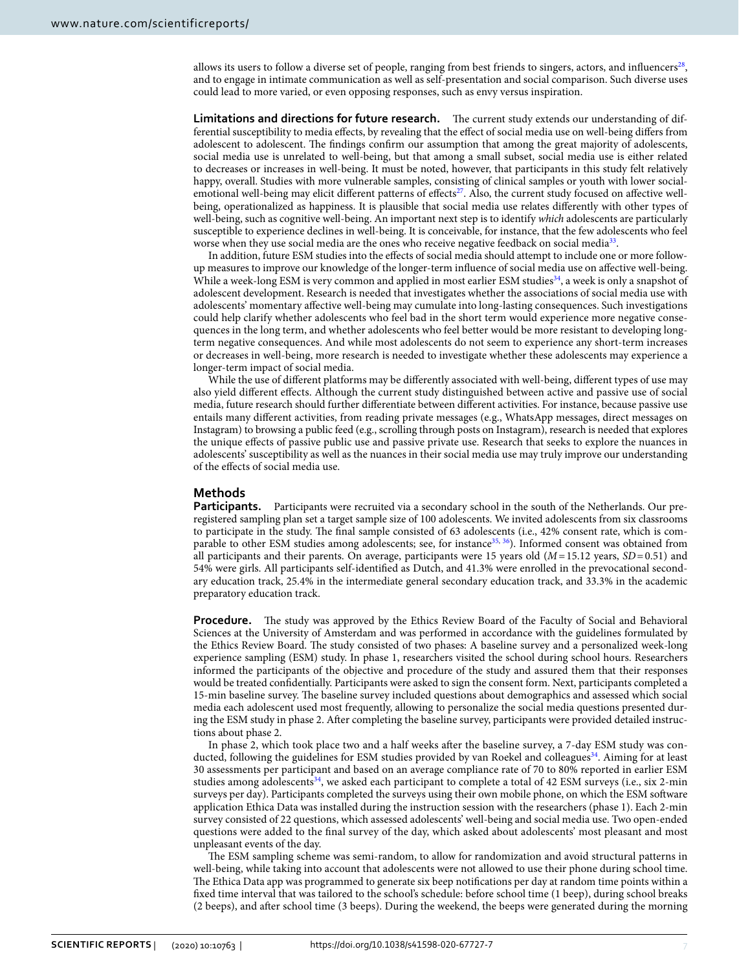allows its users to follow a diverse set of people, ranging from best friends to singers, actors, and influencers<sup>28</sup>, and to engage in intimate communication as well as self-presentation and social comparison. Such diverse uses could lead to more varied, or even opposing responses, such as envy versus inspiration.

**Limitations and directions for future research.** The current study extends our understanding of differential susceptibility to media efects, by revealing that the efect of social media use on well-being difers from adolescent to adolescent. The findings confirm our assumption that among the great majority of adolescents, social media use is unrelated to well-being, but that among a small subset, social media use is either related to decreases or increases in well-being. It must be noted, however, that participants in this study felt relatively happy, overall. Studies with more vulnerable samples, consisting of clinical samples or youth with lower socialemotional well-being may elicit different patterns of effects<sup>27</sup>. Also, the current study focused on affective wellbeing, operationalized as happiness. It is plausible that social media use relates diferently with other types of well-being, such as cognitive well-being. An important next step is to identify *which* adolescents are particularly susceptible to experience declines in well-being. It is conceivable, for instance, that the few adolescents who feel worse when they use social media are the ones who receive negative feedback on social medi[a33.](#page-9-26)

In addition, future ESM studies into the efects of social media should attempt to include one or more followup measures to improve our knowledge of the longer-term infuence of social media use on afective well-being. While a week-long ESM is very common and applied in most earlier ESM studies<sup>34</sup>, a week is only a snapshot of adolescent development. Research is needed that investigates whether the associations of social media use with adolescents' momentary afective well-being may cumulate into long-lasting consequences. Such investigations could help clarify whether adolescents who feel bad in the short term would experience more negative consequences in the long term, and whether adolescents who feel better would be more resistant to developing longterm negative consequences. And while most adolescents do not seem to experience any short-term increases or decreases in well-being, more research is needed to investigate whether these adolescents may experience a longer-term impact of social media.

While the use of diferent platforms may be diferently associated with well-being, diferent types of use may also yield diferent efects. Although the current study distinguished between active and passive use of social media, future research should further diferentiate between diferent activities. For instance, because passive use entails many diferent activities, from reading private messages (e.g., WhatsApp messages, direct messages on Instagram) to browsing a public feed (e.g., scrolling through posts on Instagram), research is needed that explores the unique efects of passive public use and passive private use. Research that seeks to explore the nuances in adolescents' susceptibility as well as the nuances in their social media use may truly improve our understanding of the efects of social media use.

# **Methods**

**Participants.** Participants were recruited via a secondary school in the south of the Netherlands. Our preregistered sampling plan set a target sample size of 100 adolescents. We invited adolescents from six classrooms to participate in the study. The final sample consisted of 63 adolescents (i.e., 42% consent rate, which is comparable to other ESM studies among adolescents; see, for instance<sup>35, 36</sup>). Informed consent was obtained from all participants and their parents. On average, participants were 15 years old (*M*=15.12 years, *SD*=0.51) and 54% were girls. All participants self-identifed as Dutch, and 41.3% were enrolled in the prevocational secondary education track, 25.4% in the intermediate general secondary education track, and 33.3% in the academic preparatory education track.

**Procedure.** The study was approved by the Ethics Review Board of the Faculty of Social and Behavioral Sciences at the University of Amsterdam and was performed in accordance with the guidelines formulated by the Ethics Review Board. The study consisted of two phases: A baseline survey and a personalized week-long experience sampling (ESM) study. In phase 1, researchers visited the school during school hours. Researchers informed the participants of the objective and procedure of the study and assured them that their responses would be treated confdentially. Participants were asked to sign the consent form. Next, participants completed a 15-min baseline survey. The baseline survey included questions about demographics and assessed which social media each adolescent used most frequently, allowing to personalize the social media questions presented during the ESM study in phase 2. Afer completing the baseline survey, participants were provided detailed instructions about phase 2.

In phase 2, which took place two and a half weeks afer the baseline survey, a 7-day ESM study was conducted, following the guidelines for ESM studies provided by van Roekel and colleagues<sup>34</sup>. Aiming for at least 30 assessments per participant and based on an average compliance rate of 70 to 80% reported in earlier ESM studies among adolescents<sup>34</sup>, we asked each participant to complete a total of 42 ESM surveys (i.e., six 2-min surveys per day). Participants completed the surveys using their own mobile phone, on which the ESM sofware application Ethica Data was installed during the instruction session with the researchers (phase 1). Each 2-min survey consisted of 22 questions, which assessed adolescents' well-being and social media use. Two open-ended questions were added to the fnal survey of the day, which asked about adolescents' most pleasant and most unpleasant events of the day.

The ESM sampling scheme was semi-random, to allow for randomization and avoid structural patterns in well-being, while taking into account that adolescents were not allowed to use their phone during school time. The Ethica Data app was programmed to generate six beep notifications per day at random time points within a fxed time interval that was tailored to the school's schedule: before school time (1 beep), during school breaks (2 beeps), and afer school time (3 beeps). During the weekend, the beeps were generated during the morning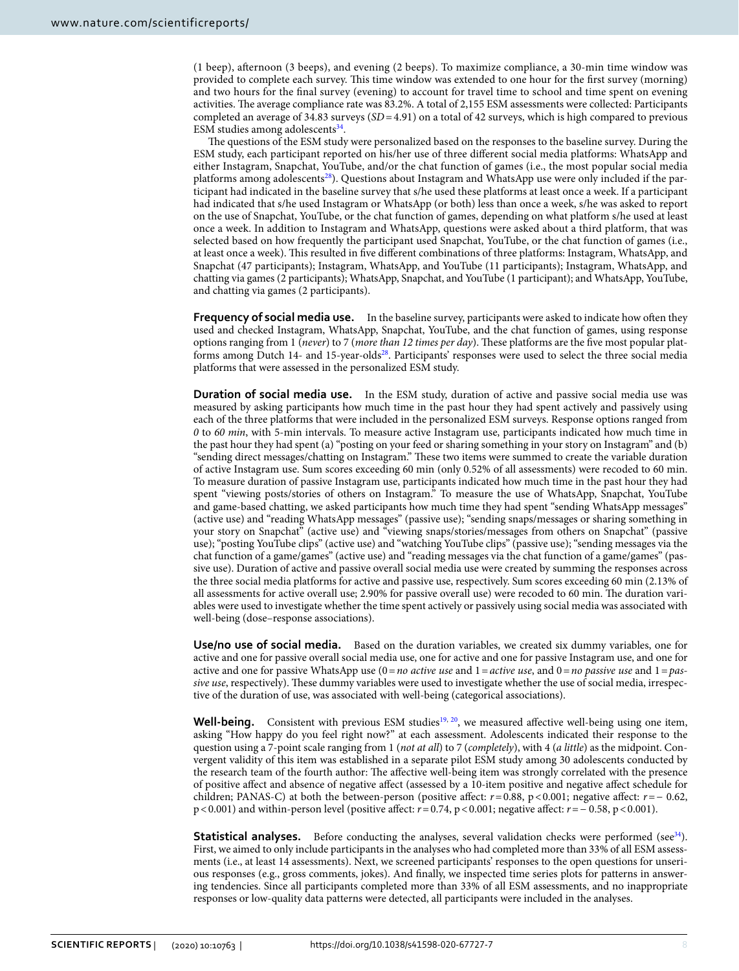(1 beep), afernoon (3 beeps), and evening (2 beeps). To maximize compliance, a 30-min time window was provided to complete each survey. Tis time window was extended to one hour for the frst survey (morning) and two hours for the fnal survey (evening) to account for travel time to school and time spent on evening activities. The average compliance rate was 83.2%. A total of 2,155 ESM assessments were collected: Participants completed an average of 34.83 surveys (*SD*=4.91) on a total of 42 surveys, which is high compared to previous ESM studies among adolescents $34$ .

The questions of the ESM study were personalized based on the responses to the baseline survey. During the ESM study, each participant reported on his/her use of three diferent social media platforms: WhatsApp and either Instagram, Snapchat, YouTube, and/or the chat function of games (i.e., the most popular social media platforms among adolescents<sup>[28](#page-9-21)</sup>). Questions about Instagram and WhatsApp use were only included if the participant had indicated in the baseline survey that s/he used these platforms at least once a week. If a participant had indicated that s/he used Instagram or WhatsApp (or both) less than once a week, s/he was asked to report on the use of Snapchat, YouTube, or the chat function of games, depending on what platform s/he used at least once a week. In addition to Instagram and WhatsApp, questions were asked about a third platform, that was selected based on how frequently the participant used Snapchat, YouTube, or the chat function of games (i.e., at least once a week). Tis resulted in fve diferent combinations of three platforms: Instagram, WhatsApp, and Snapchat (47 participants); Instagram, WhatsApp, and YouTube (11 participants); Instagram, WhatsApp, and chatting via games (2 participants); WhatsApp, Snapchat, and YouTube (1 participant); and WhatsApp, YouTube, and chatting via games (2 participants).

Frequency of social media use. In the baseline survey, participants were asked to indicate how often they used and checked Instagram, WhatsApp, Snapchat, YouTube, and the chat function of games, using response options ranging from 1 (*never*) to 7 (*more than 12 times per day*). These platforms are the five most popular platforms among Dutch 14- and 15-year-old[s28](#page-9-21). Participants' responses were used to select the three social media platforms that were assessed in the personalized ESM study.

**Duration of social media use.** In the ESM study, duration of active and passive social media use was measured by asking participants how much time in the past hour they had spent actively and passively using each of the three platforms that were included in the personalized ESM surveys. Response options ranged from *0* to *60 min*, with 5-min intervals. To measure active Instagram use, participants indicated how much time in the past hour they had spent (a) "posting on your feed or sharing something in your story on Instagram" and (b) "sending direct messages/chatting on Instagram." Tese two items were summed to create the variable duration of active Instagram use. Sum scores exceeding 60 min (only 0.52% of all assessments) were recoded to 60 min. To measure duration of passive Instagram use, participants indicated how much time in the past hour they had spent "viewing posts/stories of others on Instagram." To measure the use of WhatsApp, Snapchat, YouTube and game-based chatting, we asked participants how much time they had spent "sending WhatsApp messages" (active use) and "reading WhatsApp messages" (passive use); "sending snaps/messages or sharing something in your story on Snapchat" (active use) and "viewing snaps/stories/messages from others on Snapchat" (passive use); "posting YouTube clips" (active use) and "watching YouTube clips" (passive use); "sending messages via the chat function of a game/games" (active use) and "reading messages via the chat function of a game/games" (passive use). Duration of active and passive overall social media use were created by summing the responses across the three social media platforms for active and passive use, respectively. Sum scores exceeding 60 min (2.13% of all assessments for active overall use; 2.90% for passive overall use) were recoded to 60 min. The duration variables were used to investigate whether the time spent actively or passively using social media was associated with well-being (dose–response associations).

**Use/no use of social media.** Based on the duration variables, we created six dummy variables, one for active and one for passive overall social media use, one for active and one for passive Instagram use, and one for active and one for passive WhatsApp use (0=*no active use* and 1=*active use*, and 0=*no passive use* and 1=*passive use*, respectively). These dummy variables were used to investigate whether the use of social media, irrespective of the duration of use, was associated with well-being (categorical associations).

**Well-being.** Consistent with previous ESM studies<sup>19, 20</sup>, we measured affective well-being using one item, asking "How happy do you feel right now?" at each assessment. Adolescents indicated their response to the question using a 7-point scale ranging from 1 (*not at all*) to 7 (*completely*), with 4 (*a little*) as the midpoint. Convergent validity of this item was established in a separate pilot ESM study among 30 adolescents conducted by the research team of the fourth author: The affective well-being item was strongly correlated with the presence of positive afect and absence of negative afect (assessed by a 10-item positive and negative afect schedule for children; PANAS-C) at both the between-person (positive afect: *r*=0.88, p<0.001; negative afect: *r*=− 0.62, p<0.001) and within-person level (positive afect: *r*=0.74, p<0.001; negative afect: *r*=− 0.58, p<0.001).

**Statistical analyses.** Before conducting the analyses, several validation checks were performed (see<sup>34</sup>). First, we aimed to only include participants in the analyses who had completed more than 33% of all ESM assessments (i.e., at least 14 assessments). Next, we screened participants' responses to the open questions for unserious responses (e.g., gross comments, jokes). And fnally, we inspected time series plots for patterns in answering tendencies. Since all participants completed more than 33% of all ESM assessments, and no inappropriate responses or low-quality data patterns were detected, all participants were included in the analyses.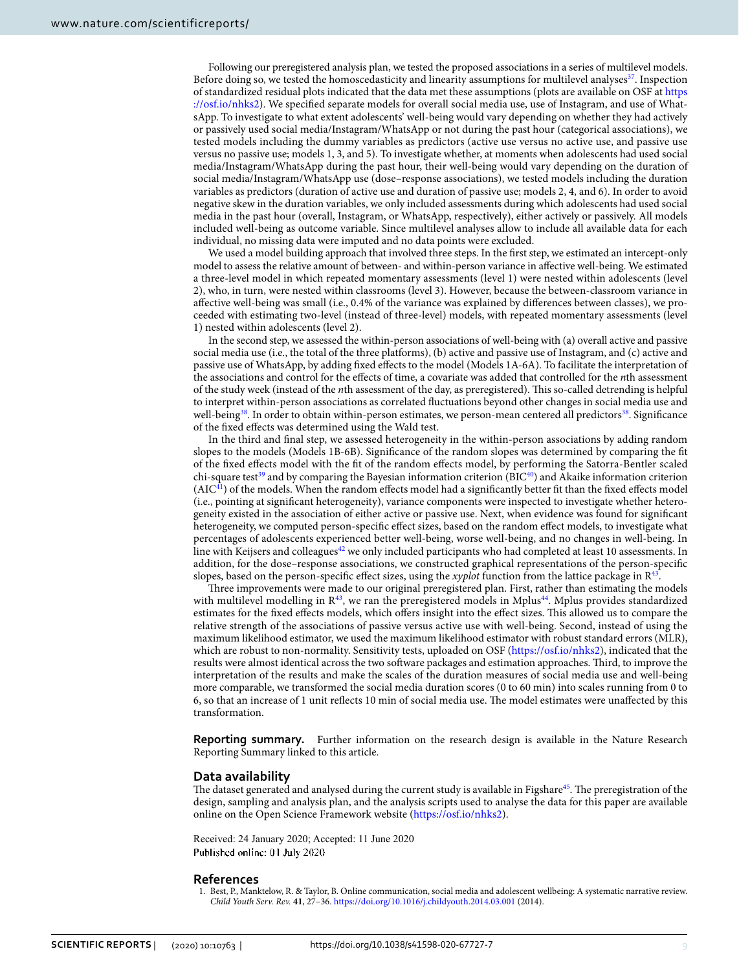Following our preregistered analysis plan, we tested the proposed associations in a series of multilevel models. Before doing so, we tested the homoscedasticity and linearity assumptions for multilevel analyses<sup>37</sup>. Inspection of standardized residual plots indicated that the data met these assumptions (plots are available on OSF at [https](https://osf.io/nhks2) [://osf.io/nhks2\)](https://osf.io/nhks2). We specifed separate models for overall social media use, use of Instagram, and use of WhatsApp. To investigate to what extent adolescents' well-being would vary depending on whether they had actively or passively used social media/Instagram/WhatsApp or not during the past hour (categorical associations), we tested models including the dummy variables as predictors (active use versus no active use, and passive use versus no passive use; models 1, 3, and 5). To investigate whether, at moments when adolescents had used social media/Instagram/WhatsApp during the past hour, their well-being would vary depending on the duration of social media/Instagram/WhatsApp use (dose–response associations), we tested models including the duration variables as predictors (duration of active use and duration of passive use; models 2, 4, and 6). In order to avoid negative skew in the duration variables, we only included assessments during which adolescents had used social media in the past hour (overall, Instagram, or WhatsApp, respectively), either actively or passively. All models included well-being as outcome variable. Since multilevel analyses allow to include all available data for each individual, no missing data were imputed and no data points were excluded.

We used a model building approach that involved three steps. In the frst step, we estimated an intercept-only model to assess the relative amount of between- and within-person variance in afective well-being. We estimated a three-level model in which repeated momentary assessments (level 1) were nested within adolescents (level 2), who, in turn, were nested within classrooms (level 3). However, because the between-classroom variance in afective well-being was small (i.e., 0.4% of the variance was explained by diferences between classes), we proceeded with estimating two-level (instead of three-level) models, with repeated momentary assessments (level 1) nested within adolescents (level 2).

In the second step, we assessed the within-person associations of well-being with (a) overall active and passive social media use (i.e., the total of the three platforms), (b) active and passive use of Instagram, and (c) active and passive use of WhatsApp, by adding fxed efects to the model (Models 1A-6A). To facilitate the interpretation of the associations and control for the efects of time, a covariate was added that controlled for the *n*th assessment of the study week (instead of the *n*th assessment of the day, as preregistered). Tis so-called detrending is helpful to interpret within-person associations as correlated fuctuations beyond other changes in social media use and well-being<sup>[38](#page-9-32)</sup>. In order to obtain within-person estimates, we person-mean centered all predictors<sup>38</sup>. Significance of the fxed efects was determined using the Wald test.

In the third and fnal step, we assessed heterogeneity in the within-person associations by adding random slopes to the models (Models 1B-6B). Signifcance of the random slopes was determined by comparing the ft of the fxed efects model with the ft of the random efects model, by performing the Satorra-Bentler scaled chi-square test<sup>39</sup> and by comparing the Bayesian information criterion (BIC<sup>[40](#page-9-34)</sup>) and Akaike information criterion  $(AIC<sup>41</sup>)$  of the models. When the random effects model had a significantly better fit than the fixed effects model (i.e., pointing at signifcant heterogeneity), variance components were inspected to investigate whether heterogeneity existed in the association of either active or passive use. Next, when evidence was found for signifcant heterogeneity, we computed person-specifc efect sizes, based on the random efect models, to investigate what percentages of adolescents experienced better well-being, worse well-being, and no changes in well-being. In line with Keijsers and colleagues<sup>[42](#page-9-36)</sup> we only included participants who had completed at least 10 assessments. In addition, for the dose–response associations, we constructed graphical representations of the person-specifc slopes, based on the person-specifc efect sizes, using the *xyplot* function from the lattice package in [R43.](#page-9-37)

Three improvements were made to our original preregistered plan. First, rather than estimating the models with multilevel modelling in  $\mathbb{R}^{43}$ , we ran the preregistered models in Mplus<sup>44</sup>. Mplus provides standardized estimates for the fxed efects models, which ofers insight into the efect sizes. Tis allowed us to compare the relative strength of the associations of passive versus active use with well-being. Second, instead of using the maximum likelihood estimator, we used the maximum likelihood estimator with robust standard errors (MLR), which are robust to non-normality. Sensitivity tests, uploaded on OSF [\(https://osf.io/nhks2\)](https://osf.io/nhks2), indicated that the results were almost identical across the two sofware packages and estimation approaches. Tird, to improve the interpretation of the results and make the scales of the duration measures of social media use and well-being more comparable, we transformed the social media duration scores (0 to 60 min) into scales running from 0 to 6, so that an increase of 1 unit reflects 10 min of social media use. The model estimates were unaffected by this transformation.

**Reporting summary.** Further information on the research design is available in the Nature Research Reporting Summary linked to this article.

## **Data availability**

The dataset generated and analysed during the current study is available in Figshare<sup>[45](#page-9-39)</sup>. The preregistration of the design, sampling and analysis plan, and the analysis scripts used to analyse the data for this paper are available online on the Open Science Framework website [\(https://osf.io/nhks2\)](https://osf.io/nhks2).

Received: 24 January 2020; Accepted: 11 June 2020 Published online: 01 July 2020

#### **References**

<span id="page-8-0"></span>1. Best, P., Manktelow, R. & Taylor, B. Online communication, social media and adolescent wellbeing: A systematic narrative review. *Child Youth Serv. Rev.* **41**, 27–36.<https://doi.org/10.1016/j.childyouth.2014.03.001> (2014).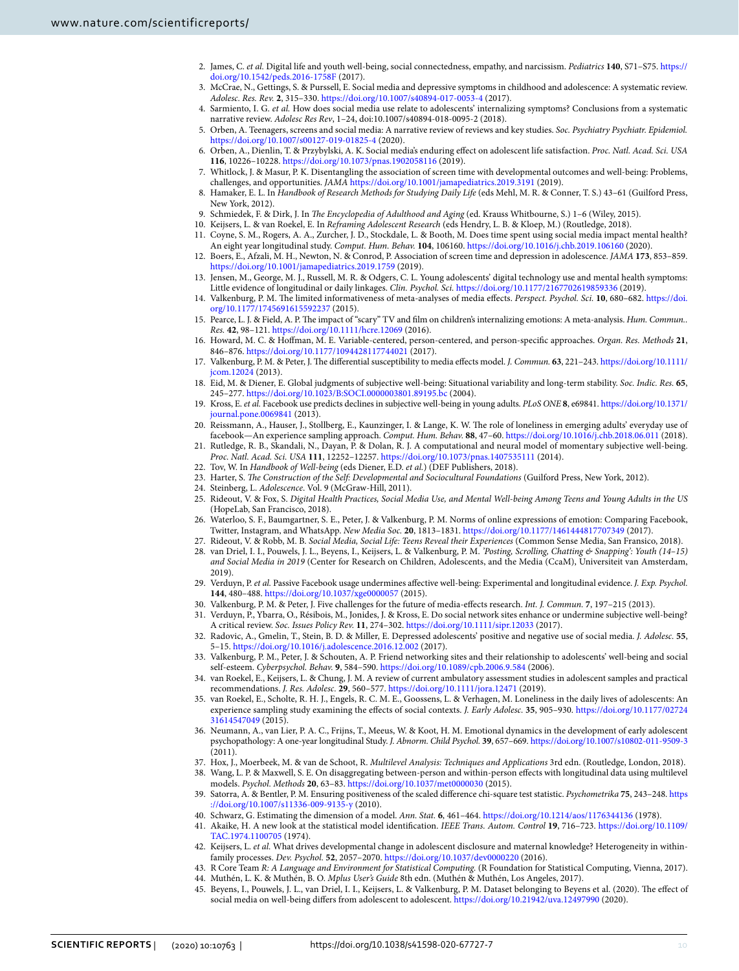- 2. James, C. *et al.* Digital life and youth well-being, social connectedness, empathy, and narcissism. *Pediatrics* **140**, S71–S75. [https://](https://doi.org/10.1542/peds.2016-1758F) [doi.org/10.1542/peds.2016-1758F](https://doi.org/10.1542/peds.2016-1758F) (2017).
- 3. McCrae, N., Gettings, S. & Purssell, E. Social media and depressive symptoms in childhood and adolescence: A systematic review. *Adolesc. Res. Rev.* **2**, 315–330.<https://doi.org/10.1007/s40894-017-0053-4> (2017).
- 4. Sarmiento, I. G. *et al.* How does social media use relate to adolescents' internalizing symptoms? Conclusions from a systematic narrative review. *Adolesc Res Rev*, 1–24, doi:10.1007/s40894-018-0095-2 (2018).
- <span id="page-9-0"></span>5. Orben, A. Teenagers, screens and social media: A narrative review of reviews and key studies. *Soc. Psychiatry Psychiatr. Epidemiol.* <https://doi.org/10.1007/s00127-019-01825-4> (2020).
- <span id="page-9-1"></span>6. Orben, A., Dienlin, T. & Przybylski, A. K. Social media's enduring efect on adolescent life satisfaction. *Proc. Natl. Acad. Sci. USA* **116**, 10226–10228. <https://doi.org/10.1073/pnas.1902058116> (2019).
- <span id="page-9-2"></span>7. Whitlock, J. & Masur, P. K. Disentangling the association of screen time with developmental outcomes and well-being: Problems, challenges, and opportunities. *JAMA* <https://doi.org/10.1001/jamapediatrics.2019.3191> (2019).
- <span id="page-9-3"></span>8. Hamaker, E. L. In *Handbook of Research Methods for Studying Daily Life* (eds Mehl, M. R. & Conner, T. S.) 43–61 (Guilford Press, New York, 2012).
- 9. Schmiedek, F. & Dirk, J. In *Te Encyclopedia of Adulthood and Aging* (ed. Krauss Whitbourne, S.) 1–6 (Wiley, 2015).
- <span id="page-9-4"></span>10. Keijsers, L. & van Roekel, E. In *Reframing Adolescent Research* (eds Hendry, L. B. & Kloep, M.) (Routledge, 2018).
- <span id="page-9-5"></span>11. Coyne, S. M., Rogers, A. A., Zurcher, J. D., Stockdale, L. & Booth, M. Does time spent using social media impact mental health? An eight year longitudinal study. *Comput. Hum. Behav.* **104**, 106160. <https://doi.org/10.1016/j.chb.2019.106160>(2020).
- <span id="page-9-7"></span>12. Boers, E., Afzali, M. H., Newton, N. & Conrod, P. Association of screen time and depression in adolescence. *JAMA* **173**, 853–859. <https://doi.org/10.1001/jamapediatrics.2019.1759> (2019).
- <span id="page-9-6"></span>13. Jensen, M., George, M. J., Russell, M. R. & Odgers, C. L. Young adolescents' digital technology use and mental health symptoms: Little evidence of longitudinal or daily linkages. *Clin. Psychol. Sci.* <https://doi.org/10.1177/2167702619859336>(2019).
- <span id="page-9-8"></span>14. Valkenburg, P. M. Te limited informativeness of meta-analyses of media efects. *Perspect. Psychol. Sci.* **10**, 680–682. [https://doi.](https://doi.org/10.1177/1745691615592237) [org/10.1177/1745691615592237](https://doi.org/10.1177/1745691615592237) (2015).
- <span id="page-9-9"></span>15. Pearce, L. J. & Field, A. P. Te impact of "scary" TV and flm on children's internalizing emotions: A meta-analysis. *Hum. Commun.. Res.* **42**, 98–121.<https://doi.org/10.1111/hcre.12069> (2016).
- <span id="page-9-10"></span>16. Howard, M. C. & Hofman, M. E. Variable-centered, person-centered, and person-specifc approaches. *Organ. Res. Methods* **21**, 846–876. <https://doi.org/10.1177/1094428117744021>(2017).
- <span id="page-9-11"></span>17. Valkenburg, P. M. & Peter, J. Te diferential susceptibility to media efects model. *J. Commun.* **63**, 221–243. [https://doi.org/10.1111/](https://doi.org/10.1111/jcom.12024) [jcom.12024](https://doi.org/10.1111/jcom.12024) (2013).
- <span id="page-9-12"></span>18. Eid, M. & Diener, E. Global judgments of subjective well-being: Situational variability and long-term stability. *Soc. Indic. Res.* **65**, 245–277. <https://doi.org/10.1023/B:SOCI.0000003801.89195.bc>(2004).
- <span id="page-9-13"></span>19. Kross, E. *et al.* Facebook use predicts declines in subjective well-being in young adults. *PLoS ONE* **8**, e69841. [https://doi.org/10.1371/](https://doi.org/10.1371/journal.pone.0069841) [journal.pone.0069841](https://doi.org/10.1371/journal.pone.0069841) (2013).
- <span id="page-9-14"></span>20. Reissmann, A., Hauser, J., Stollberg, E., Kaunzinger, I. & Lange, K. W. The role of loneliness in emerging adults' everyday use of facebook—An experience sampling approach. *Comput. Hum. Behav.* **88**, 47–60. <https://doi.org/10.1016/j.chb.2018.06.011> (2018).
- <span id="page-9-15"></span>21. Rutledge, R. B., Skandali, N., Dayan, P. & Dolan, R. J. A computational and neural model of momentary subjective well-being. *Proc. Natl. Acad. Sci. USA* **111**, 12252–12257.<https://doi.org/10.1073/pnas.1407535111> (2014).
- <span id="page-9-16"></span>22. Tov, W. In *Handbook of Well-being* (eds Diener, E.D. *et al.*) (DEF Publishers, 2018).
- <span id="page-9-17"></span>23. Harter, S. *The Construction of the Self: Developmental and Sociocultural Foundations* (Guilford Press, New York, 2012).
- <span id="page-9-18"></span>24. Steinberg, L. *Adolescence*. Vol. 9 (McGraw-Hill, 2011).
- <span id="page-9-19"></span>25. Rideout, V. & Fox, S. *Digital Health Practices, Social Media Use, and Mental Well-being Among Teens and Young Adults in the US* (HopeLab, San Francisco, 2018).
- <span id="page-9-27"></span>26. Waterloo, S. F., Baumgartner, S. E., Peter, J. & Valkenburg, P. M. Norms of online expressions of emotion: Comparing Facebook, Twitter, Instagram, and WhatsApp. *New Media Soc.* **20**, 1813–1831.<https://doi.org/10.1177/1461444817707349> (2017).
- <span id="page-9-21"></span><span id="page-9-20"></span>27. Rideout, V. & Robb, M. B. *Social Media, Social Life: Teens Reveal their Experiences* (Common Sense Media, San Fransico, 2018). 28. van Driel, I. I., Pouwels, J. L., Beyens, I., Keijsers, L. & Valkenburg, P. M. *'Posting, Scrolling, Chatting & Snapping': Youth (14–15) and Social Media in 2019* (Center for Research on Children, Adolescents, and the Media (CcaM), Universiteit van Amsterdam, 2019).
- <span id="page-9-22"></span>29. Verduyn, P. *et al.* Passive Facebook usage undermines afective well-being: Experimental and longitudinal evidence. *J. Exp. Psychol.* **144**, 480–488.<https://doi.org/10.1037/xge0000057> (2015).
- <span id="page-9-23"></span>30. Valkenburg, P. M. & Peter, J. Five challenges for the future of media-efects research. *Int. J. Commun.* **7**, 197–215 (2013).
- <span id="page-9-24"></span>31. Verduyn, P., Ybarra, O., Résibois, M., Jonides, J. & Kross, E. Do social network sites enhance or undermine subjective well-being? A critical review. *Soc. Issues Policy Rev.* **11**, 274–302.<https://doi.org/10.1111/sipr.12033> (2017).
- <span id="page-9-25"></span>32. Radovic, A., Gmelin, T., Stein, B. D. & Miller, E. Depressed adolescents' positive and negative use of social media. *J. Adolesc.* **55**, 5–15. <https://doi.org/10.1016/j.adolescence.2016.12.002> (2017).
- <span id="page-9-26"></span>33. Valkenburg, P. M., Peter, J. & Schouten, A. P. Friend networking sites and their relationship to adolescents' well-being and social self-esteem. *Cyberpsychol. Behav.* **9**, 584–590.<https://doi.org/10.1089/cpb.2006.9.584>(2006).
- <span id="page-9-28"></span>34. van Roekel, E., Keijsers, L. & Chung, J. M. A review of current ambulatory assessment studies in adolescent samples and practical recommendations. *J. Res. Adolesc.* **29**, 560–577.<https://doi.org/10.1111/jora.12471>(2019).
- <span id="page-9-29"></span>35. van Roekel, E., Scholte, R. H. J., Engels, R. C. M. E., Goossens, L. & Verhagen, M. Loneliness in the daily lives of adolescents: An experience sampling study examining the efects of social contexts. *J. Early Adolesc.* **35**, 905–930. [https://doi.org/10.1177/02724](https://doi.org/10.1177/0272431614547049) [31614547049](https://doi.org/10.1177/0272431614547049) (2015).
- <span id="page-9-30"></span>36. Neumann, A., van Lier, P. A. C., Frijns, T., Meeus, W. & Koot, H. M. Emotional dynamics in the development of early adolescent psychopathology: A one-year longitudinal Study. *J. Abnorm. Child Psychol.* **39**, 657–669.<https://doi.org/10.1007/s10802-011-9509-3> (2011).
- <span id="page-9-31"></span>37. Hox, J., Moerbeek, M. & van de Schoot, R. *Multilevel Analysis: Techniques and Applications* 3rd edn. (Routledge, London, 2018).
- <span id="page-9-32"></span>38. Wang, L. P. & Maxwell, S. E. On disaggregating between-person and within-person efects with longitudinal data using multilevel models. *Psychol. Methods* **20**, 63–83.<https://doi.org/10.1037/met0000030> (2015).
- <span id="page-9-33"></span>39. Satorra, A. & Bentler, P. M. Ensuring positiveness of the scaled diference chi-square test statistic. *Psychometrika* **75**, 243–248. [https](https://doi.org/10.1007/s11336-009-9135-y) [://doi.org/10.1007/s11336-009-9135-y](https://doi.org/10.1007/s11336-009-9135-y) (2010).
- <span id="page-9-34"></span>40. Schwarz, G. Estimating the dimension of a model. *Ann. Stat.* **6**, 461–464.<https://doi.org/10.1214/aos/1176344136> (1978).
- <span id="page-9-35"></span>41. Akaike, H. A new look at the statistical model identifcation. *IEEE Trans. Autom. Control* **19**, 716–723. [https://doi.org/10.1109/](https://doi.org/10.1109/TAC.1974.1100705) [TAC.1974.1100705](https://doi.org/10.1109/TAC.1974.1100705) (1974).
- <span id="page-9-36"></span>42. Keijsers, L. *et al.* What drives developmental change in adolescent disclosure and maternal knowledge? Heterogeneity in withinfamily processes. *Dev. Psychol.* **52**, 2057–2070. <https://doi.org/10.1037/dev0000220> (2016).
- <span id="page-9-37"></span>43. R Core Team *R: A Language and Environment for Statistical Computing.* (R Foundation for Statistical Computing, Vienna, 2017).
- <span id="page-9-38"></span>44. Muthén, L. K. & Muthén, B. O. *Mplus User's Guide* 8th edn. (Muthén & Muthén, Los Angeles, 2017).
- <span id="page-9-39"></span>45. Beyens, I., Pouwels, J. L., van Driel, I. I., Keijsers, L. & Valkenburg, P. M. Dataset belonging to Beyens et al. (2020). The effect of social media on well-being difers from adolescent to adolescent. <https://doi.org/10.21942/uva.12497990> (2020).